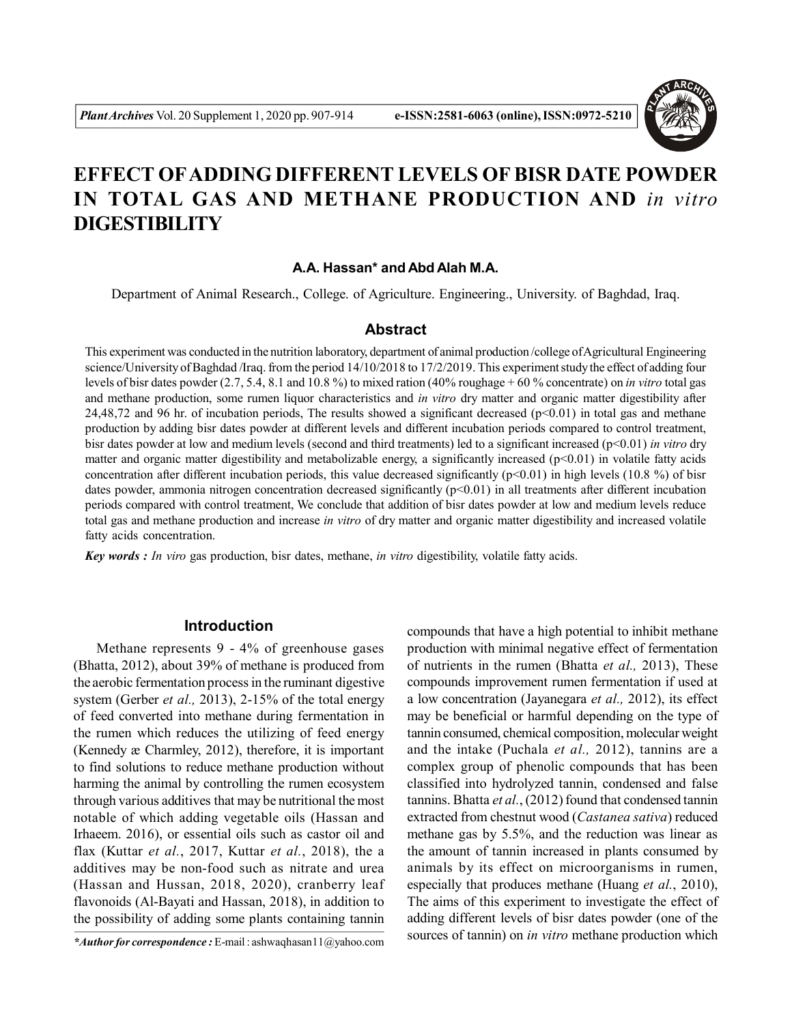

# **EFFECT OFADDING DIFFERENT LEVELS OF BISR DATE POWDER IN TOTAL GAS AND METHANE PRODUCTION AND** *in vitro* **DIGESTIBILITY**

## **A.A. Hassan\* and Abd Alah M.A.**

Department of Animal Research., College. of Agriculture. Engineering., University. of Baghdad, Iraq.

## **Abstract**

This experiment was conducted in the nutrition laboratory, department of animal production /college of Agricultural Engineering science/University of Baghdad /Iraq. from the period 14/10/2018 to 17/2/2019. This experiment study the effect of adding four levels of bisr dates powder (2.7, 5.4, 8.1 and 10.8 %) to mixed ration (40% roughage + 60 % concentrate) on *in vitro* total gas and methane production, some rumen liquor characteristics and *in vitro* dry matter and organic matter digestibility after 24,48,72 and 96 hr. of incubation periods, The results showed a significant decreased ( $p<0.01$ ) in total gas and methane production by adding bisr dates powder at different levels and different incubation periods compared to control treatment, bisr dates powder at low and medium levels (second and third treatments) led to a significant increased (p<0.01) *in vitro* dry matter and organic matter digestibility and metabolizable energy, a significantly increased  $(p<0.01)$  in volatile fatty acids concentration after different incubation periods, this value decreased significantly ( $p<0.01$ ) in high levels (10.8 %) of bisr dates powder, ammonia nitrogen concentration decreased significantly (p<0.01) in all treatments after different incubation periods compared with control treatment, We conclude that addition of bisr dates powder at low and medium levels reduce total gas and methane production and increase *in vitro* of dry matter and organic matter digestibility and increased volatile fatty acids concentration.

*Key words : In viro* gas production, bisr dates, methane, *in vitro* digestibility, volatile fatty acids.

# **Introduction**

Methane represents 9 - 4% of greenhouse gases (Bhatta, 2012), about 39% of methane is produced from the aerobic fermentation process in the ruminant digestive system (Gerber *et al.,* 2013), 2-15% of the total energy of feed converted into methane during fermentation in the rumen which reduces the utilizing of feed energy (Kennedy æ Charmley, 2012), therefore, it is important to find solutions to reduce methane production without harming the animal by controlling the rumen ecosystem through various additives that may be nutritional the most notable of which adding vegetable oils (Hassan and Irhaeem. 2016), or essential oils such as castor oil and flax (Kuttar *et al.*, 2017, Kuttar *et al.*, 2018), the a additives may be non-food such as nitrate and urea (Hassan and Hussan, 2018, 2020), cranberry leaf flavonoids (Al-Bayati and Hassan, 2018), in addition to the possibility of adding some plants containing tannin

compounds that have a high potential to inhibit methane production with minimal negative effect of fermentation of nutrients in the rumen (Bhatta *et al.,* 2013), These compounds improvement rumen fermentation if used at a low concentration (Jayanegara *et al.,* 2012), its effect may be beneficial or harmful depending on the type of tannin consumed, chemical composition, molecular weight and the intake (Puchala *et al.,* 2012), tannins are a complex group of phenolic compounds that has been classified into hydrolyzed tannin, condensed and false tannins. Bhatta *et al.*, (2012) found that condensed tannin extracted from chestnut wood (*Castanea sativa*) reduced methane gas by 5.5%, and the reduction was linear as the amount of tannin increased in plants consumed by animals by its effect on microorganisms in rumen, especially that produces methane (Huang *et al.*, 2010), The aims of this experiment to investigate the effect of adding different levels of bisr dates powder (one of the sources of tannin) on *in vitro* methane production which

*<sup>\*</sup>Author for correspondence :* E-mail : ashwaqhasan11@yahoo.com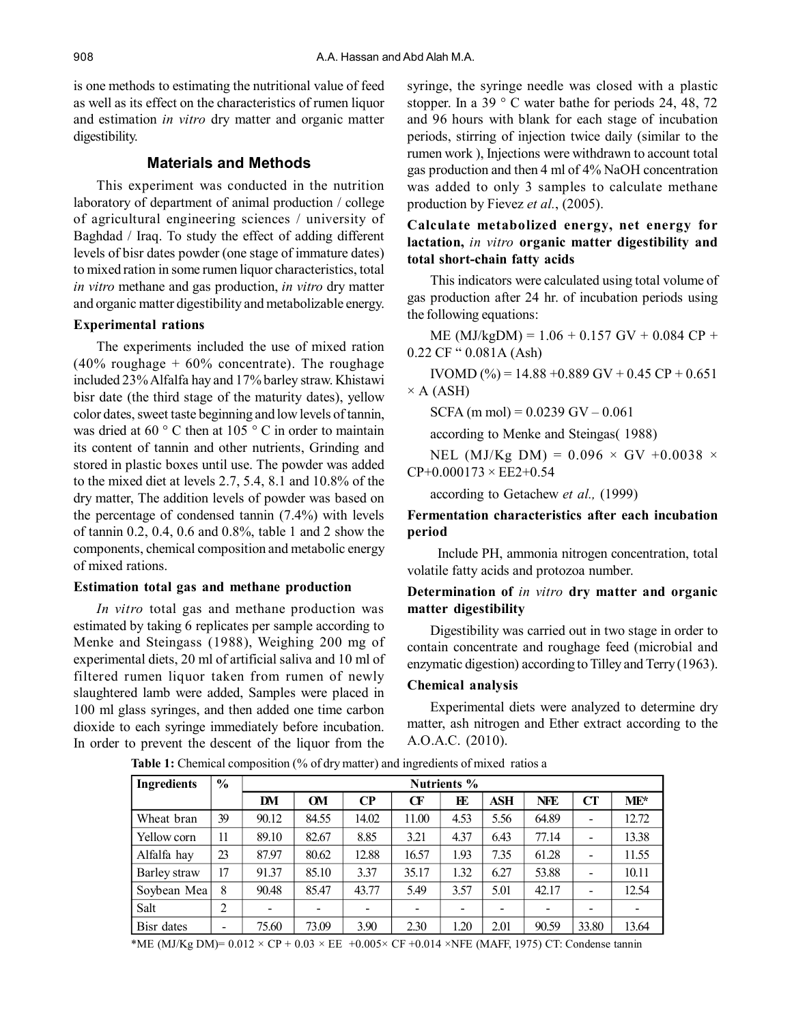is one methods to estimating the nutritional value of feed as well as its effect on the characteristics of rumen liquor and estimation *in vitro* dry matter and organic matter digestibility.

# **Materials and Methods**

This experiment was conducted in the nutrition laboratory of department of animal production / college of agricultural engineering sciences / university of Baghdad / Iraq. To study the effect of adding different levels of bisr dates powder (one stage of immature dates) to mixed ration in some rumen liquor characteristics, total *in vitro* methane and gas production, *in vitro* dry matter and organic matter digestibility and metabolizable energy.

## **Experimental rations**

The experiments included the use of mixed ration  $(40\%$  roughage + 60% concentrate). The roughage included 23% Alfalfa hay and 17% barley straw. Khistawi bisr date (the third stage of the maturity dates), yellow color dates, sweet taste beginning and low levels of tannin, was dried at 60  $\degree$  C then at 105  $\degree$  C in order to maintain its content of tannin and other nutrients, Grinding and stored in plastic boxes until use. The powder was added to the mixed diet at levels 2.7, 5.4, 8.1 and 10.8% of the dry matter, The addition levels of powder was based on the percentage of condensed tannin (7.4%) with levels of tannin 0.2, 0.4, 0.6 and 0.8%, table 1 and 2 show the components, chemical composition and metabolic energy of mixed rations.

## **Estimation total gas and methane production**

*In vitro* total gas and methane production was estimated by taking 6 replicates per sample according to Menke and Steingass (1988), Weighing 200 mg of experimental diets, 20 ml of artificial saliva and 10 ml of filtered rumen liquor taken from rumen of newly slaughtered lamb were added, Samples were placed in 100 ml glass syringes, and then added one time carbon dioxide to each syringe immediately before incubation. In order to prevent the descent of the liquor from the

syringe, the syringe needle was closed with a plastic stopper. In a 39 ° C water bathe for periods 24, 48, 72 and 96 hours with blank for each stage of incubation periods, stirring of injection twice daily (similar to the rumen work ), Injections were withdrawn to account total gas production and then 4 ml of 4% NaOH concentration was added to only 3 samples to calculate methane production by Fievez *et al.*, (2005).

# **Calculate metabolized energy, net energy for lactation,** *in vitro* **organic matter digestibility and total short-chain fatty acids**

This indicators were calculated using total volume of gas production after 24 hr. of incubation periods using the following equations:

 $ME (MJ/kgDM) = 1.06 + 0.157$  GV + 0.084 CP + 0.22 CF " 0.081A (Ash)

IVOMD (%) = 14.88 + 0.889 GV + 0.45 CP + 0.651

 $\times$  A (ASH)

 $SCFA$  (m mol) = 0.0239 GV – 0.061

according to Menke and Steingas( 1988)

NEL (MJ/Kg DM) =  $0.096 \times$  GV +0.0038  $\times$  $CP+0.000173 \times EE2+0.54$ 

according to Getachew *et al.,* (1999)

# **Fermentation characteristics after each incubation period**

 Include PH, ammonia nitrogen concentration, total volatile fatty acids and protozoa number.

# **Determination of** *in vitro* **dry matter and organic matter digestibility**

Digestibility was carried out in two stage in order to contain concentrate and roughage feed (microbial and enzymatic digestion) according to Tilley and Terry (1963).

### **Chemical analysis**

Experimental diets were analyzed to determine dry matter, ash nitrogen and Ether extract according to the A.O.A.C. (2010).

| <b>Ingredients</b> | $\%$           | <b>Nutrients</b> % |           |          |       |      |      |            |                          |                          |
|--------------------|----------------|--------------------|-----------|----------|-------|------|------|------------|--------------------------|--------------------------|
|                    |                | DM                 | <b>OM</b> | $\bf CP$ | CF    | ЕE   | ASH  | <b>NFE</b> | <b>CT</b>                | $ME*$                    |
| Wheat bran         | 39             | 90.12              | 84.55     | 14.02    | 11.00 | 4.53 | 5.56 | 64.89      |                          | 12.72                    |
| Yellow corn        | 11             | 89.10              | 82.67     | 8.85     | 3.21  | 4.37 | 6.43 | 77.14      |                          | 13.38                    |
| Alfalfa hay        | 23             | 87.97              | 80.62     | 12.88    | 16.57 | 1.93 | 7.35 | 61.28      |                          | 11.55                    |
| Barley straw       | 17             | 91.37              | 85.10     | 3.37     | 35.17 | 1.32 | 6.27 | 53.88      | $\overline{\phantom{a}}$ | 10.11                    |
| Soybean Mea        | 8              | 90.48              | 85.47     | 43.77    | 5.49  | 3.57 | 5.01 | 42.17      | $\qquad \qquad$          | 12.54                    |
| Salt               | $\overline{2}$ | -                  |           |          |       | -    |      |            |                          | $\overline{\phantom{a}}$ |
| Bisr dates         |                | 75.60              | 73.09     | 3.90     | 2.30  | 1.20 | 2.01 | 90.59      | 33.80                    | 13.64                    |

**Table 1:** Chemical composition (% of dry matter) and ingredients of mixed ratios a

\*ME (MJ/Kg DM)=  $0.012 \times CP + 0.03 \times EE + 0.005 \times CF + 0.014 \times NFE$  (MAFF, 1975) CT: Condense tannin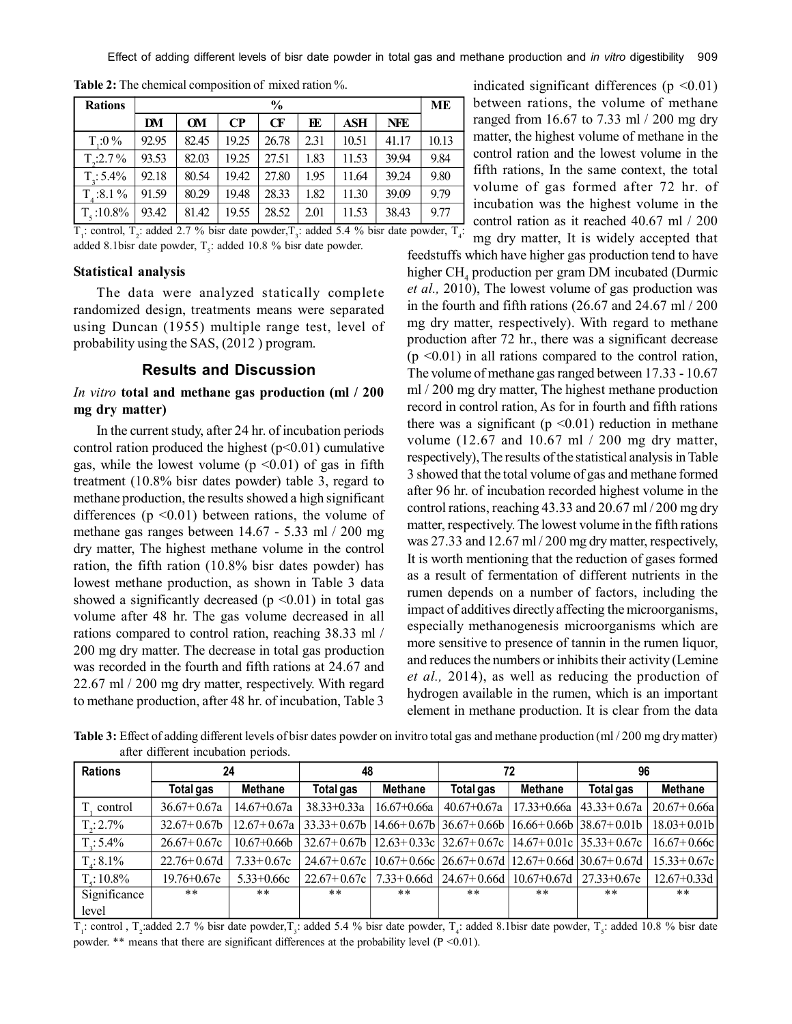Effect of adding different levels of bisr date powder in total gas and methane production and *in vitro* digestibility 909

| <b>Rations</b>     |       | $\frac{6}{9}$ |          |       |      |       |            |       |  |
|--------------------|-------|---------------|----------|-------|------|-------|------------|-------|--|
|                    | DM    | <b>OM</b>     | $\bf CP$ | CF    | FE   | ASH   | <b>NFE</b> |       |  |
| $T:0\%$            | 92.95 | 82.45         | 19.25    | 26.78 | 2.31 | 10.51 | 41.17      | 10.13 |  |
| $T_{\rm h}$ :2.7 % | 93.53 | 82.03         | 19.25    | 27.51 | 1.83 | 11.53 | 39.94      | 9.84  |  |
| $T_{1}: 5.4\%$     | 92.18 | 80.54         | 19.42    | 27.80 | 1.95 | 11.64 | 39.24      | 9.80  |  |
| $T_{4}:8.1\%$      | 91.59 | 80.29         | 19.48    | 28.33 | 1.82 | 11.30 | 39.09      | 9.79  |  |
| $T_c$ :10.8%       | 93.42 | 81.42         | 19.55    | 28.52 | 2.01 | 11.53 | 38.43      | 9.77  |  |

**Table 2:** The chemical composition of mixed ration %.

 $T_1$ : control,  $T_2$ : added 2.7 % bisr date powder,  $T_3$ : added 5.4 % bisr date powder,  $T_4$ : added 8.1 bisr date powder,  $T_s$ : added 10.8 % bisr date powder.

## **Statistical analysis**

The data were analyzed statically complete randomized design, treatments means were separated using Duncan (1955) multiple range test, level of probability using the SAS, (2012 ) program.

## **Results and Discussion**

## *In vitro* **total and methane gas production (ml / 200 mg dry matter)**

In the current study, after 24 hr. of incubation periods control ration produced the highest  $(p<0.01)$  cumulative gas, while the lowest volume ( $p \le 0.01$ ) of gas in fifth treatment (10.8% bisr dates powder) table 3, regard to methane production, the results showed a high significant differences ( $p \le 0.01$ ) between rations, the volume of methane gas ranges between 14.67 - 5.33 ml / 200 mg dry matter, The highest methane volume in the control ration, the fifth ration (10.8% bisr dates powder) has lowest methane production, as shown in Table 3 data showed a significantly decreased ( $p \le 0.01$ ) in total gas volume after 48 hr. The gas volume decreased in all rations compared to control ration, reaching 38.33 ml / 200 mg dry matter. The decrease in total gas production was recorded in the fourth and fifth rations at 24.67 and 22.67 ml / 200 mg dry matter, respectively. With regard to methane production, after 48 hr. of incubation, Table 3 indicated significant differences ( $p \le 0.01$ ) between rations, the volume of methane ranged from 16.67 to 7.33 ml / 200 mg dry matter, the highest volume of methane in the control ration and the lowest volume in the fifth rations, In the same context, the total volume of gas formed after 72 hr. of incubation was the highest volume in the control ration as it reached 40.67 ml / 200

mg dry matter, It is widely accepted that feedstuffs which have higher gas production tend to have higher CH<sub>4</sub> production per gram DM incubated (Durmic *et al.,* 2010), The lowest volume of gas production was in the fourth and fifth rations (26.67 and 24.67 ml / 200 mg dry matter, respectively). With regard to methane production after 72 hr., there was a significant decrease  $(p \le 0.01)$  in all rations compared to the control ration, The volume of methane gas ranged between 17.33 - 10.67 ml / 200 mg dry matter, The highest methane production record in control ration, As for in fourth and fifth rations there was a significant ( $p \le 0.01$ ) reduction in methane volume (12.67 and 10.67 ml / 200 mg dry matter, respectively), The results of the statistical analysis in Table 3 showed that the total volume of gas and methane formed after 96 hr. of incubation recorded highest volume in the control rations, reaching 43.33 and 20.67 ml / 200 mg dry matter, respectively. The lowest volume in the fifth rations was 27.33 and 12.67 ml / 200 mg dry matter, respectively, It is worth mentioning that the reduction of gases formed as a result of fermentation of different nutrients in the rumen depends on a number of factors, including the impact of additives directly affecting the microorganisms, especially methanogenesis microorganisms which are more sensitive to presence of tannin in the rumen liquor, and reduces the numbers or inhibits their activity (Lemine *et al.,* 2014), as well as reducing the production of hydrogen available in the rumen, which is an important element in methane production. It is clear from the data

**Table 3:** Effect of adding different levels of bisr dates powder on invitro total gas and methane production (ml / 200 mg dry matter) after different incubation periods.

| <b>Rations</b>     | 24               |                 | 48               |                 |                                                                 | 72              | 96                                                      |                 |
|--------------------|------------------|-----------------|------------------|-----------------|-----------------------------------------------------------------|-----------------|---------------------------------------------------------|-----------------|
|                    | <b>Total gas</b> | <b>Methane</b>  | Total gas        | <b>Methane</b>  | Total gas                                                       | <b>Methane</b>  | <b>Total gas</b>                                        | <b>Methane</b>  |
| control            | $36.67 + 0.67a$  | $14.67 + 0.67a$ | $38.33 + 0.33a$  | $16.67 + 0.66a$ | $40.67 + 0.67a$                                                 |                 | $17.33+0.66a$ $ 43.33+0.67a$                            | $20.67 + 0.66a$ |
| $T_{\rm g}$ : 2.7% | $32.67 + 0.67$   | $12.67+0.67a$   | $33.33 + 0.67b$  |                 | $14.66 + 0.67b$ $36.67 + 0.66b$ $16.66 + 0.66b$ $38.67 + 0.01b$ |                 |                                                         | $18.03 + 0.01b$ |
| $T_{\rm g}$ : 5.4% | $26.67+0.67c$    | $10.67 + 0.66b$ | $32.67 + 0.67 h$ |                 |                                                                 |                 | $12.63+0.33c$   32.67+0.67c   14.67+0.01c   35.33+0.67c | $16.67 + 0.66c$ |
| $T: 8.1\%$         | $22.76 + 0.67d$  | $7.33+0.67c$    | $24.67+0.67c$    |                 | $10.67+0.66c$ $26.67+0.67d$ $12.67+0.66d$ $30.67+0.67d$         |                 |                                                         | $15.33 + 0.67c$ |
| $T:10.8\%$         | $19.76 + 0.67e$  | $5.33 + 0.66c$  | $22.67+0.67c$    | $7.33 + 0.66d$  | $ 24.67+0.66d $                                                 | $10.67 + 0.67d$ | $ 27.33+0.67e $                                         | $12.67 + 0.33d$ |
| Significance       | $***$            | $* *$           | $* *$            | $***$           | $***$                                                           | $***$           | $***$                                                   | $* *$           |
| level              |                  |                 |                  |                 |                                                                 |                 |                                                         |                 |

 $T_1$ : control,  $T_2$ :added 2.7 % bisr date powder,  $T_3$ : added 5.4 % bisr date powder,  $T_4$ : added 8.1bisr date powder,  $T_5$ : added 10.8 % bisr date powder. \*\* means that there are significant differences at the probability level (P <0.01).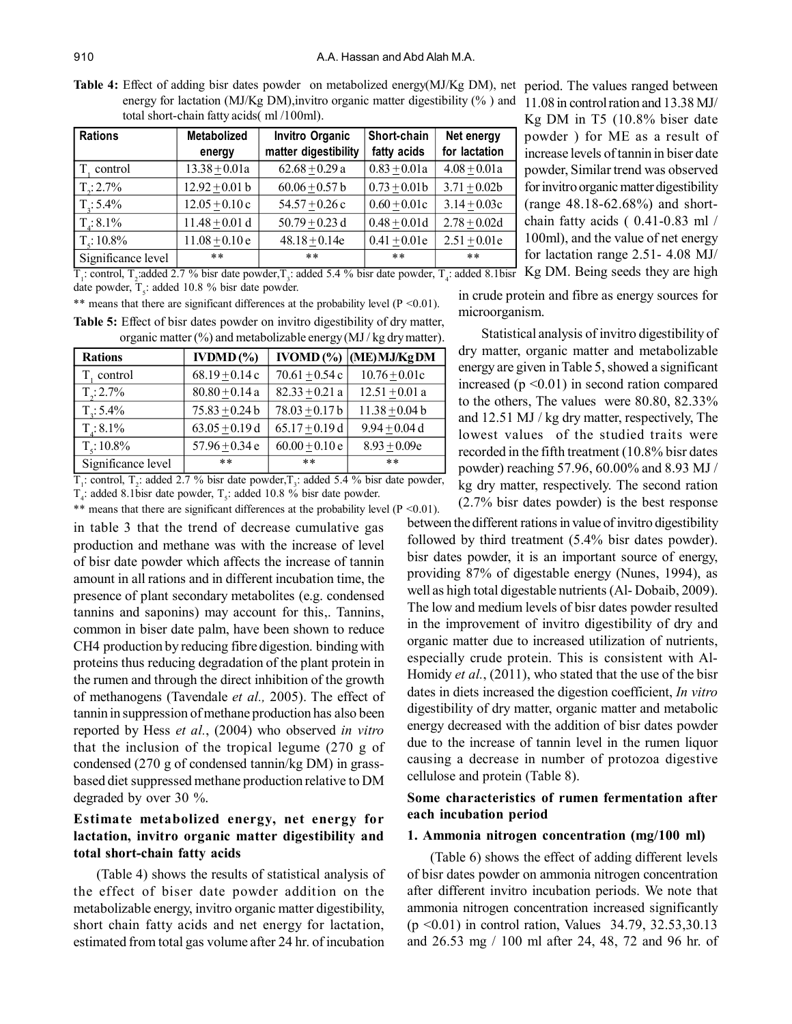**Table 4:** Effect of adding bisr dates powder on metabolized energy(MJ/Kg DM), net period. The values ranged between energy for lactation (MJ/Kg DM),invitro organic matter digestibility (% ) and 11.08 in control ration and 13.38 MJ/ total short-chain fatty acids( ml /100ml).

| <b>Rations</b>     | Metabolized      | <b>Invitro Organic</b> | Short-chain      | Net energy     |
|--------------------|------------------|------------------------|------------------|----------------|
|                    | energy           | matter digestibility   | fatty acids      | for lactation  |
| control            | $13.38 + 0.01a$  | $62.68 + 0.29$ a       | $0.83 + 0.01a$   | $4.08 + 0.01a$ |
| $T_{\rm g}$ : 2.7% | $12.92 + 0.01 b$ | $60.06 + 0.57$ b       | $0.73 + 0.01b$   | $3.71 + 0.02b$ |
| $T_{\rm g}$ : 5.4% | $12.05 + 0.10c$  | $54.57 + 0.26$ c       | $0.60 \pm 0.01c$ | $3.14 + 0.03c$ |
| $T_{4}$ : 8.1%     | $11.48 + 0.01 d$ | $50.79 + 0.23$ d       | $0.48 + 0.01d$   | $2.78 + 0.02d$ |
| $T_c$ : 10.8%      | $11.08 + 0.10e$  | $48.18 + 0.14e$        | $0.41 + 0.01e$   | $2.51 + 0.01e$ |
| Significance level | $* *$            | $***$                  | $* *$            | $***$          |

 $T_1$ : control,  $T_2$ :added 2.7 % bisr date powder,  $T_3$ : added 5.4 % bisr date powder,  $T_4$ : added 8.1bisr Kg DM. Being seeds they are high date powder,  $T_s$ : added 10.8 % bisr date powder.

|  |  |  |  | ** means that there are significant differences at the probability level ( $P \le 0.01$ ). |  |
|--|--|--|--|--------------------------------------------------------------------------------------------|--|
|  |  |  |  | Table 5. Effect of hist dates nowder on invitro digestibility of dry matter                |  |

| <b>Rations</b>     | $\mathbf{IVDMD}$ (%) | IVOMD <sub>(</sub> %) | (ME) MJ/Kg DM     |
|--------------------|----------------------|-----------------------|-------------------|
| T, control         | $68.19 + 0.14c$      | $70.61 + 0.54$ c      | $10.76 \pm 0.01c$ |
| $T_{\rm g}$ : 2.7% | $80.80 + 0.14$ a     | $82.33 + 0.21$ a      | $12.51 + 0.01$ a  |
| $T_{\rm H}$ : 5.4% | $75.83 + 0.24 b$     | $78.03 + 0.17 b$      | $11.38 + 0.04 b$  |
| $T_{4}$ : 8.1%     | $63.05 + 0.19$ d     | $65.17 + 0.19$ d      | $9.94 + 0.04$ d   |
| $T_c$ : 10.8%      | $57.96 + 0.34$ e     | $60.00 + 0.10e$       | $8.93 + 0.09e$    |
| Significance level | $***$                | $* *$                 | **                |

**Table 5:** Effect of bisr dates powder on invitro digestibility of dry matter, organic matter (%) and metabolizable energy (MJ / kg dry matter).

 $T_1$ : control,  $T_2$ : added 2.7 % bisr date powder,  $T_3$ : added 5.4 % bisr date powder,  $T_4$ : added 8.1 bisr date powder,  $T_5$ : added 10.8 % bisr date powder.

\*\* means that there are significant differences at the probability level  $(P \le 0.01)$ .

in table 3 that the trend of decrease cumulative gas production and methane was with the increase of level of bisr date powder which affects the increase of tannin amount in all rations and in different incubation time, the presence of plant secondary metabolites (e.g. condensed tannins and saponins) may account for this,. Tannins, common in biser date palm, have been shown to reduce CH4 production by reducing fibre digestion. binding with proteins thus reducing degradation of the plant protein in the rumen and through the direct inhibition of the growth of methanogens (Tavendale *et al.,* 2005). The effect of tannin in suppression of methane production has also been reported by Hess *et al.*, (2004) who observed *in vitro* that the inclusion of the tropical legume (270 g of condensed (270 g of condensed tannin/kg DM) in grassbased diet suppressed methane production relative to DM degraded by over 30 %.

# **Estimate metabolized energy, net energy for lactation, invitro organic matter digestibility and total short-chain fatty acids**

(Table 4) shows the results of statistical analysis of the effect of biser date powder addition on the metabolizable energy, invitro organic matter digestibility, short chain fatty acids and net energy for lactation, estimated from total gas volume after 24 hr. of incubation

Kg DM in T5 (10.8% biser date powder ) for ME as a result of increase levels of tannin in biser date powder, Similar trend was observed for invitro organic matter digestibility (range 48.18-62.68%) and shortchain fatty acids ( 0.41-0.83 ml / 100ml), and the value of net energy for lactation range 2.51- 4.08 MJ/

in crude protein and fibre as energy sources for microorganism.

Statistical analysis of invitro digestibility of dry matter, organic matter and metabolizable energy are given in Table 5, showed a significant increased (p <0.01) in second ration compared to the others, The values were 80.80, 82.33% and 12.51 MJ / kg dry matter, respectively, The lowest values of the studied traits were recorded in the fifth treatment (10.8% bisr dates powder) reaching 57.96, 60.00% and 8.93 MJ / kg dry matter, respectively. The second ration (2.7% bisr dates powder) is the best response

between the different rations in value of invitro digestibility followed by third treatment (5.4% bisr dates powder). bisr dates powder, it is an important source of energy, providing 87% of digestable energy (Nunes, 1994), as well as high total digestable nutrients (Al- Dobaib, 2009). The low and medium levels of bisr dates powder resulted in the improvement of invitro digestibility of dry and organic matter due to increased utilization of nutrients, especially crude protein. This is consistent with Al-Homidy *et al.*, (2011), who stated that the use of the bisr dates in diets increased the digestion coefficient, *In vitro* digestibility of dry matter, organic matter and metabolic energy decreased with the addition of bisr dates powder due to the increase of tannin level in the rumen liquor causing a decrease in number of protozoa digestive cellulose and protein (Table 8).

## **Some characteristics of rumen fermentation after each incubation period**

### **1. Ammonia nitrogen concentration (mg/100 ml)**

(Table 6) shows the effect of adding different levels of bisr dates powder on ammonia nitrogen concentration after different invitro incubation periods. We note that ammonia nitrogen concentration increased significantly (p <0.01) in control ration, Values 34.79, 32.53,30.13 and 26.53 mg / 100 ml after 24, 48, 72 and 96 hr. of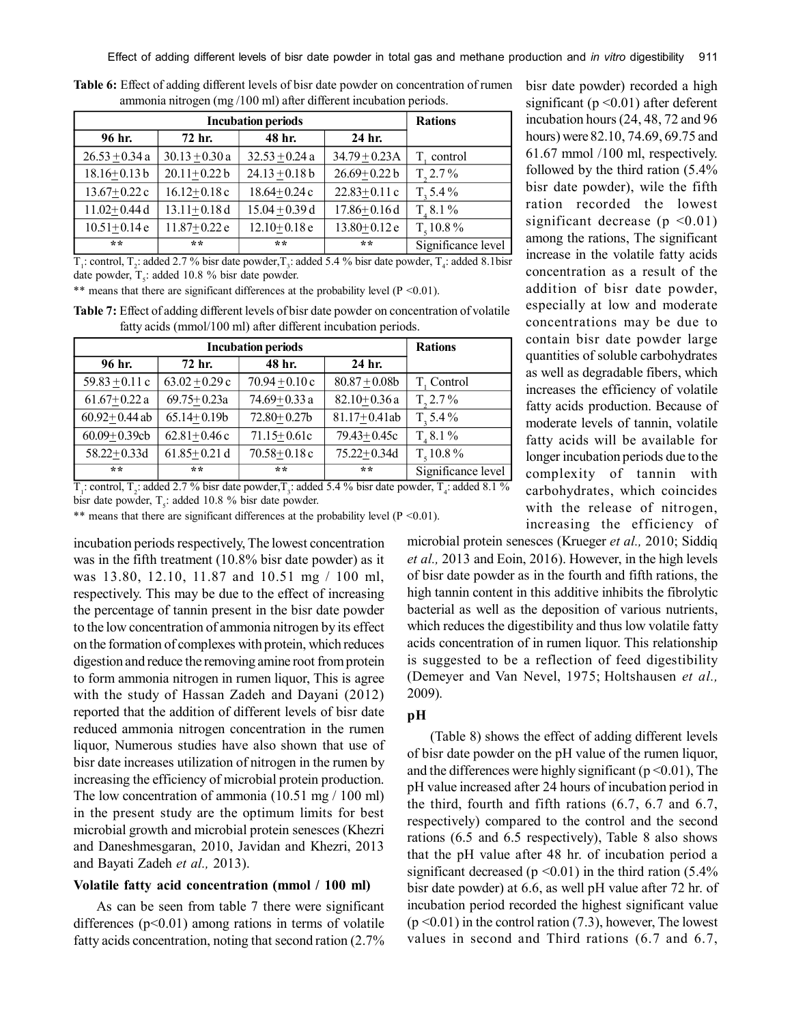**Table 6:** Effect of adding different levels of bisr date powder on concentration of rumen ammonia nitrogen (mg /100 ml) after different incubation periods.

|                  | <b>Rations</b>   |                  |                  |                    |
|------------------|------------------|------------------|------------------|--------------------|
| 96 hr.           | 72 hr.           | 48 hr.           | 24 hr.           |                    |
| $26.53 + 0.34$ a | $30.13 + 0.30a$  | $32.53 + 0.24$ a | $34.79 + 0.23A$  | T, control         |
| $18.16 + 0.13 b$ | $20.11 + 0.22 b$ | $24.13 + 0.18$ b | $26.69 + 0.22 b$ | $T_{2}2.7\%$       |
| $13.67 + 0.22c$  | $16.12 + 0.18c$  | $18.64 + 0.24c$  | $22.83 + 0.11c$  | $T, 5.4\%$         |
| $11.02 + 0.44$ d | $13.11 + 0.18d$  | $15.04 + 0.39$ d | $17.86 + 0.16d$  | $T, 8.1\%$         |
| $10.51 + 0.14e$  | $11.87 + 0.22e$  | $12.10+0.18e$    | $13.80 + 0.12e$  | $T_{s}$ 10.8%      |
| $**$             | **               | **               | $**$             | Significance level |

 $T_1$ : control,  $T_2$ : added 2.7 % bisr date powder,  $T_3$ : added 5.4 % bisr date powder,  $T_4$ : added 8.1 bisr date powder,  $T<sub>5</sub>$ : added 10.8 % bisr date powder.

\*\* means that there are significant differences at the probability level  $(P < 0.01)$ .

| <b>Table 7:</b> Effect of adding different levels of bisr date powder on concentration of volatile |  |
|----------------------------------------------------------------------------------------------------|--|
| fatty acids (mmol/100 ml) after different incubation periods.                                      |  |

|                   | <b>Rations</b>   |                    |                  |                    |
|-------------------|------------------|--------------------|------------------|--------------------|
| 96 hr.            | 72 hr.           | 48 hr.             | 24 hr.           |                    |
| $59.83 + 0.11$ c  | $63.02 + 0.29$ c | $70.94 \pm 0.10$ c | $80.87 + 0.08b$  | T. Control         |
| $61.67 + 0.22a$   | $69.75 + 0.23a$  | $74.69 + 0.33a$    | $82.10 + 0.36a$  | $T, 2.7\%$         |
| $60.92 + 0.44$ ab | $65.14 + 0.19b$  | $72.80 + 0.27b$    | $81.17 + 0.41ab$ | $T_{2}$ 5.4%       |
| $60.09 + 0.39$ cb | $62.81 + 0.46c$  | $71.15 + 0.61c$    | $79.43 + 0.45c$  | $T, 8.1\%$         |
| $58.22 + 0.33d$   | $61.85 + 0.21$ d | $70.58 + 0.18$ c   | $75.22 + 0.34d$  | $T_{s}$ 10.8%      |
| **                | **               | $+ +$              | $* *$            | Significance level |

 $T_1$ : control,  $T_2$ : added 2.7 % bisr date powder,  $T_3$ : added 5.4 % bisr date powder,  $T_4$ : added 8.1 % bisr date powder,  $T_s$ : added 10.8 % bisr date powder.

\*\* means that there are significant differences at the probability level  $(P \le 0.01)$ .

incubation periods respectively, The lowest concentration was in the fifth treatment (10.8% bisr date powder) as it was 13.80, 12.10, 11.87 and 10.51 mg / 100 ml, respectively. This may be due to the effect of increasing the percentage of tannin present in the bisr date powder to the low concentration of ammonia nitrogen by its effect on the formation of complexes with protein, which reduces digestion and reduce the removing amine root from protein to form ammonia nitrogen in rumen liquor, This is agree with the study of Hassan Zadeh and Dayani (2012) reported that the addition of different levels of bisr date reduced ammonia nitrogen concentration in the rumen liquor, Numerous studies have also shown that use of bisr date increases utilization of nitrogen in the rumen by increasing the efficiency of microbial protein production. The low concentration of ammonia (10.51 mg / 100 ml) in the present study are the optimum limits for best microbial growth and microbial protein senesces (Khezri and Daneshmesgaran, 2010, Javidan and Khezri, 2013 and Bayati Zadeh *et al.,* 2013).

## **Volatile fatty acid concentration (mmol / 100 ml)**

As can be seen from table 7 there were significant differences  $(p<0.01)$  among rations in terms of volatile fatty acids concentration, noting that second ration (2.7%

bisr date powder) recorded a high significant ( $p \le 0.01$ ) after deferent incubation hours (24, 48, 72 and 96 hours) were 82.10, 74.69, 69.75 and 61.67 mmol /100 ml, respectively. followed by the third ration (5.4% bisr date powder), wile the fifth ration recorded the lowest significant decrease ( $p \le 0.01$ ) among the rations, The significant increase in the volatile fatty acids concentration as a result of the addition of bisr date powder, especially at low and moderate concentrations may be due to contain bisr date powder large quantities of soluble carbohydrates as well as degradable fibers, which increases the efficiency of volatile fatty acids production. Because of moderate levels of tannin, volatile fatty acids will be available for longer incubation periods due to the complexity of tannin with carbohydrates, which coincides with the release of nitrogen, increasing the efficiency of

microbial protein senesces (Krueger *et al.,* 2010; Siddiq *et al.,* 2013 and Eoin, 2016). However, in the high levels of bisr date powder as in the fourth and fifth rations, the high tannin content in this additive inhibits the fibrolytic bacterial as well as the deposition of various nutrients, which reduces the digestibility and thus low volatile fatty acids concentration of in rumen liquor. This relationship is suggested to be a reflection of feed digestibility (Demeyer and Van Nevel, 1975; Holtshausen *et al.,* 2009).

## **pH**

(Table 8) shows the effect of adding different levels of bisr date powder on the pH value of the rumen liquor, and the differences were highly significant ( $p \le 0.01$ ), The pH value increased after 24 hours of incubation period in the third, fourth and fifth rations (6.7, 6.7 and 6.7, respectively) compared to the control and the second rations (6.5 and 6.5 respectively), Table 8 also shows that the pH value after 48 hr. of incubation period a significant decreased ( $p \le 0.01$ ) in the third ration (5.4%) bisr date powder) at 6.6, as well pH value after 72 hr. of incubation period recorded the highest significant value  $(p \le 0.01)$  in the control ration (7.3), however, The lowest values in second and Third rations (6.7 and 6.7,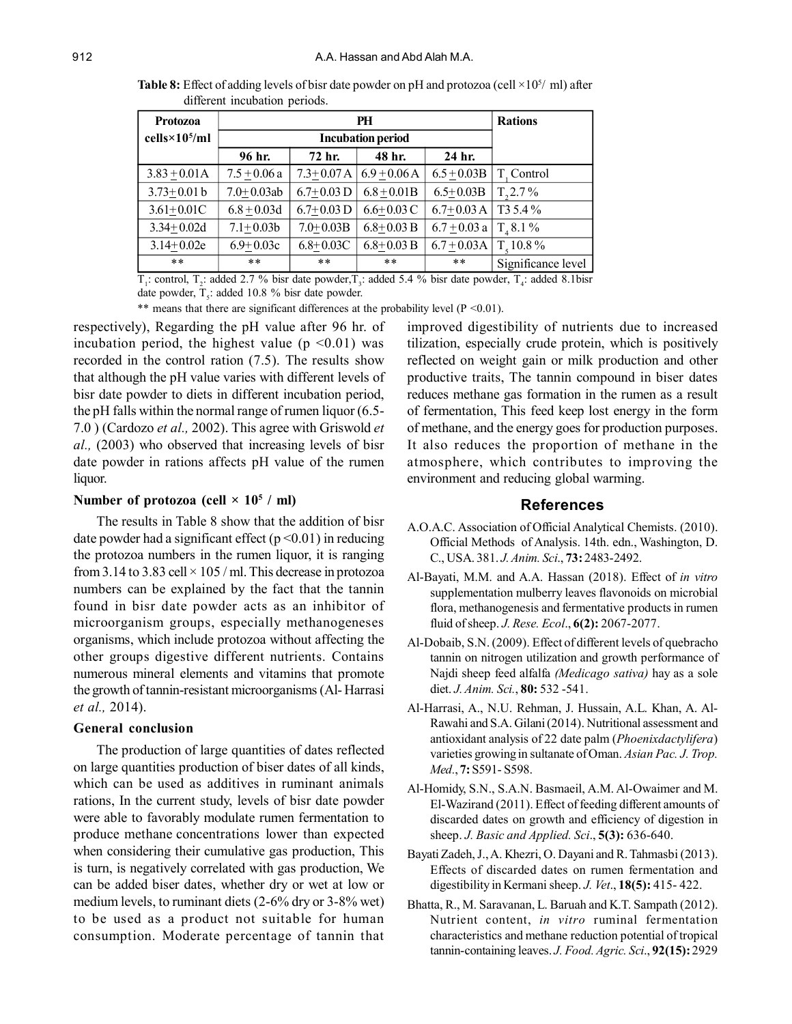**Table 8:** Effect of adding levels of bisr date powder on pH and protozoa (cell  $\times$ 10<sup>5</sup>/ ml) after different incubation periods.

| Protozoa               |                | <b>Rations</b> |                |                |                       |
|------------------------|----------------|----------------|----------------|----------------|-----------------------|
| $cells \times 10^5/ml$ |                |                |                |                |                       |
|                        | 96 hr.         | 72 hr.         | 48 hr.         | 24 hr.         |                       |
| $3.83 + 0.01A$         | $7.5 + 0.06a$  | $7.3 + 0.07 A$ | $6.9 + 0.06 A$ | $6.5 + 0.03B$  | T. Control            |
| $3.73 + 0.01 b$        | $7.0 + 0.03ab$ | $6.7+0.03$ D   | $6.8 + 0.01B$  | $6.5 + 0.03B$  | $T_{2}2.7\%$          |
| $3.61 + 0.01C$         | $6.8 + 0.03d$  | $6.7+0.03$ D   | $6.6 + 0.03$ C | $6.7 + 0.03$ A | T <sub>3</sub> 5.4 %  |
| $3.34 + 0.02d$         | $7.1 + 0.03b$  | $7.0 + 0.03B$  | $6.8 + 0.03 B$ | $6.7 + 0.03$ a | $T, 8.1\%$            |
| $3.14+0.02e$           | $6.9 + 0.03c$  | $6.8 + 0.03C$  | $6.8 + 0.03 B$ | $6.7 + 0.03A$  | T <sub>e</sub> 10.8 % |
| $* *$                  | $***$          | $* *$          | $* *$          | $***$          | Significance level    |

 $T_1$ : control,  $T_2$ : added 2.7 % bisr date powder,  $T_3$ : added 5.4 % bisr date powder,  $T_4$ : added 8.1bisr date powder,  $T_s$ : added 10.8 % bisr date powder.

\*\* means that there are significant differences at the probability level  $(P \le 0.01)$ .

respectively), Regarding the pH value after 96 hr. of incubation period, the highest value ( $p \le 0.01$ ) was recorded in the control ration (7.5). The results show that although the pH value varies with different levels of bisr date powder to diets in different incubation period, the pH falls within the normal range of rumen liquor (6.5- 7.0 ) (Cardozo *et al.,* 2002). This agree with Griswold *et al.,* (2003) who observed that increasing levels of bisr date powder in rations affects pH value of the rumen liquor.

## **Number of protozoa (cell × 10<sup>5</sup> / ml)**

The results in Table 8 show that the addition of bisr date powder had a significant effect ( $p \le 0.01$ ) in reducing the protozoa numbers in the rumen liquor, it is ranging from 3.14 to 3.83 cell  $\times$  105 / ml. This decrease in protozoa numbers can be explained by the fact that the tannin found in bisr date powder acts as an inhibitor of microorganism groups, especially methanogeneses organisms, which include protozoa without affecting the other groups digestive different nutrients. Contains numerous mineral elements and vitamins that promote the growth of tannin-resistant microorganisms (Al- Harrasi *et al.,* 2014).

#### **General conclusion**

The production of large quantities of dates reflected on large quantities production of biser dates of all kinds, which can be used as additives in ruminant animals rations, In the current study, levels of bisr date powder were able to favorably modulate rumen fermentation to produce methane concentrations lower than expected when considering their cumulative gas production, This is turn, is negatively correlated with gas production, We can be added biser dates, whether dry or wet at low or medium levels, to ruminant diets (2-6% dry or 3-8% wet) to be used as a product not suitable for human consumption. Moderate percentage of tannin that

improved digestibility of nutrients due to increased tilization, especially crude protein, which is positively reflected on weight gain or milk production and other productive traits, The tannin compound in biser dates reduces methane gas formation in the rumen as a result of fermentation, This feed keep lost energy in the form of methane, and the energy goes for production purposes. It also reduces the proportion of methane in the atmosphere, which contributes to improving the environment and reducing global warming.

## **References**

- A.O.A.C. Association of Official Analytical Chemists. (2010). Official Methods of Analysis. 14th. edn., Washington, D. C., USA. 381. *J. Anim. Sci*., **73:** 2483-2492.
- Al-Bayati, M.M. and A.A. Hassan (2018). Effect of *in vitro* supplementation mulberry leaves flavonoids on microbial flora, methanogenesis and fermentative products in rumen fluid of sheep. *J. Rese. Ecol*., **6(2):** 2067-2077.
- Al-Dobaib, S.N. (2009). Effect of different levels of quebracho tannin on nitrogen utilization and growth performance of Najdi sheep feed alfalfa *(Medicago sativa)* hay as a sole diet. *J. Anim. Sci.*, **80:** 532 -541.
- Al-Harrasi, A., N.U. Rehman, J. Hussain, A.L. Khan, A. Al-Rawahi and S.A. Gilani (2014). Nutritional assessment and antioxidant analysis of 22 date palm (*Phoenixdactylifera*) varieties growing in sultanate of Oman. *Asian Pac. J. Trop. Med.*, **7:** S591- S598.
- Al-Homidy, S.N., S.A.N. Basmaeil, A.M. Al-Owaimer and M. El-Wazirand (2011). Effect of feeding different amounts of discarded dates on growth and efficiency of digestion in sheep. *J. Basic and Applied. Sci*., **5(3):** 636-640.
- Bayati Zadeh, J., A. Khezri, O. Dayani and R. Tahmasbi (2013). Effects of discarded dates on rumen fermentation and digestibility in Kermani sheep. *J. Vet*., **18(5):** 415- 422.
- Bhatta, R., M. Saravanan, L. Baruah and K.T. Sampath (2012). Nutrient content, *in vitro* ruminal fermentation characteristics and methane reduction potential of tropical tannin-containing leaves. *J. Food. Agric. Sci*., **92(15):** 2929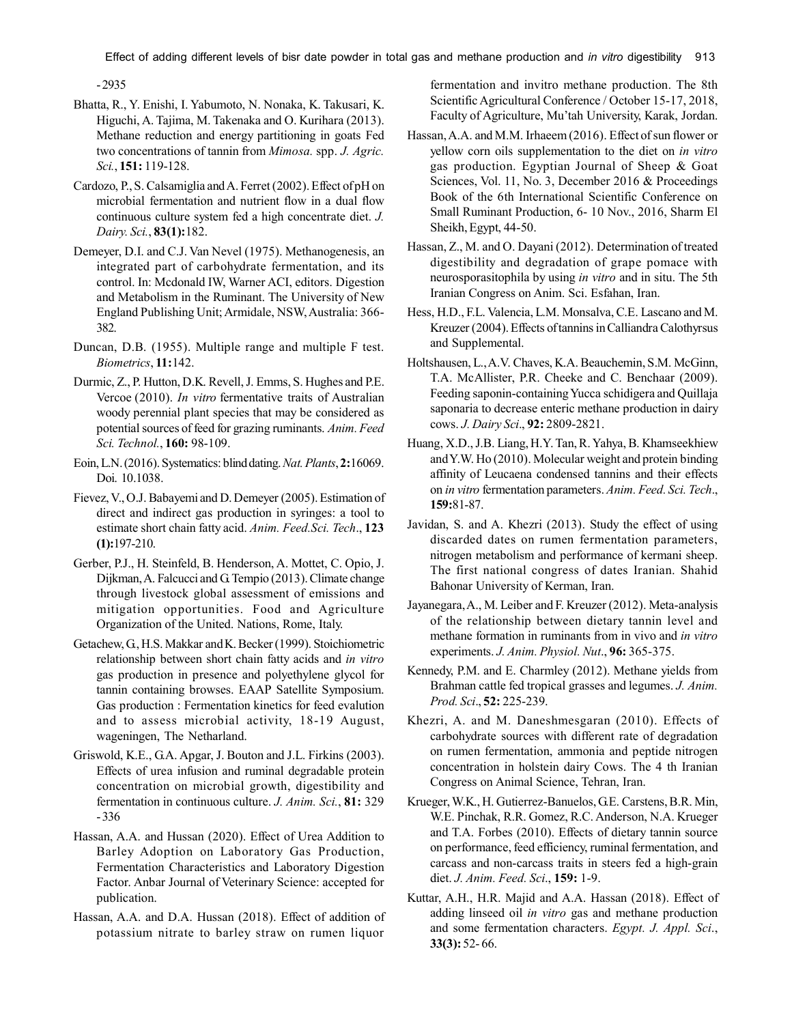Effect of adding different levels of bisr date powder in total gas and methane production and *in vitro* digestibility 913

- 2935

- Bhatta, R., Y. Enishi, I. Yabumoto, N. Nonaka, K. Takusari, K. Higuchi, A. Tajima, M. Takenaka and O. Kurihara (2013). Methane reduction and energy partitioning in goats Fed two concentrations of tannin from *Mimosa.* spp. *J. Agric. Sci.*, **151:** 119-128.
- Cardozo, P., S. Calsamiglia and A. Ferret (2002). Effect of pH on microbial fermentation and nutrient flow in a dual flow continuous culture system fed a high concentrate diet. *J. Dairy. Sci.*, **83(1):**182.
- Demeyer, D.I. and C.J. Van Nevel (1975). Methanogenesis, an integrated part of carbohydrate fermentation, and its control. In: Mcdonald IW, Warner ACI, editors. Digestion and Metabolism in the Ruminant. The University of New England Publishing Unit; Armidale, NSW, Australia: 366- 382.
- Duncan, D.B. (1955). Multiple range and multiple F test. *Biometrics*, **11:**142.
- Durmic, Z., P. Hutton, D.K. Revell, J. Emms, S. Hughes and P.E. Vercoe (2010). *In vitro* fermentative traits of Australian woody perennial plant species that may be considered as potential sources of feed for grazing ruminants. *Anim. Feed Sci. Technol.*, **160:** 98-109.
- Eoin, L.N. (2016). Systematics: blind dating. *Nat. Plants*, **2:**16069. Doi. 10.1038.
- Fievez, V., O.J. Babayemi and D. Demeyer (2005). Estimation of direct and indirect gas production in syringes: a tool to estimate short chain fatty acid. *Anim. Feed.Sci. Tech*., **123 (1):**197-210.
- Gerber, P.J., H. Steinfeld, B. Henderson, A. Mottet, C. Opio, J. Dijkman, A. Falcucci and G. Tempio (2013). Climate change through livestock global assessment of emissions and mitigation opportunities. Food and Agriculture Organization of the United. Nations, Rome, Italy.
- Getachew, G., H.S. Makkar and K. Becker (1999). Stoichiometric relationship between short chain fatty acids and *in vitro* gas production in presence and polyethylene glycol for tannin containing browses. EAAP Satellite Symposium. Gas production : Fermentation kinetics for feed evalution and to assess microbial activity, 18-19 August, wageningen, The Netharland.
- Griswold, K.E., G.A. Apgar, J. Bouton and J.L. Firkins (2003). Effects of urea infusion and ruminal degradable protein concentration on microbial growth, digestibility and fermentation in continuous culture. *J. Anim. Sci.*, **81:** 329 - 336
- Hassan, A.A. and Hussan (2020). Effect of Urea Addition to Barley Adoption on Laboratory Gas Production, Fermentation Characteristics and Laboratory Digestion Factor. Anbar Journal of Veterinary Science: accepted for publication.
- Hassan, A.A. and D.A. Hussan (2018). Effect of addition of potassium nitrate to barley straw on rumen liquor

fermentation and invitro methane production. The 8th Scientific Agricultural Conference / October 15-17, 2018, Faculty of Agriculture, Mu'tah University, Karak, Jordan.

- Hassan, A.A. and M.M. Irhaeem (2016). Effect of sun flower or yellow corn oils supplementation to the diet on *in vitro* gas production. Egyptian Journal of Sheep & Goat Sciences, Vol. 11, No. 3, December 2016 & Proceedings Book of the 6th International Scientific Conference on Small Ruminant Production, 6- 10 Nov., 2016, Sharm El Sheikh, Egypt, 44-50.
- Hassan, Z., M. and O. Dayani (2012). Determination of treated digestibility and degradation of grape pomace with neurosporasitophila by using *in vitro* and in situ. The 5th Iranian Congress on Anim. Sci. Esfahan, Iran.
- Hess, H.D., F.L. Valencia, L.M. Monsalva, C.E. Lascano and M. Kreuzer (2004). Effects of tannins in Calliandra Calothyrsus and Supplemental.
- Holtshausen, L., A.V. Chaves, K.A. Beauchemin, S.M. McGinn, T.A. McAllister, P.R. Cheeke and C. Benchaar (2009). Feeding saponin-containing Yucca schidigera and Quillaja saponaria to decrease enteric methane production in dairy cows. *J. Dairy Sci*., **92:** 2809-2821.
- Huang, X.D., J.B. Liang, H.Y. Tan, R. Yahya, B. Khamseekhiew and Y.W. Ho (2010). Molecular weight and protein binding affinity of Leucaena condensed tannins and their effects on *in vitro* fermentation parameters. *Anim. Feed. Sci. Tech*., **159:**81-87.
- Javidan, S. and A. Khezri (2013). Study the effect of using discarded dates on rumen fermentation parameters, nitrogen metabolism and performance of kermani sheep. The first national congress of dates Iranian. Shahid Bahonar University of Kerman, Iran.
- Jayanegara, A., M. Leiber and F. Kreuzer (2012). Meta-analysis of the relationship between dietary tannin level and methane formation in ruminants from in vivo and *in vitro* experiments. *J. Anim. Physiol. Nut*., **96:** 365-375.
- Kennedy, P.M. and E. Charmley (2012). Methane yields from Brahman cattle fed tropical grasses and legumes. *J. Anim. Prod. Sci*., **52:** 225-239.
- Khezri, A. and M. Daneshmesgaran (2010). Effects of carbohydrate sources with different rate of degradation on rumen fermentation, ammonia and peptide nitrogen concentration in holstein dairy Cows. The 4 th Iranian Congress on Animal Science, Tehran, Iran.
- Krueger, W.K., H. Gutierrez-Banuelos, G.E. Carstens, B.R. Min, W.E. Pinchak, R.R. Gomez, R.C. Anderson, N.A. Krueger and T.A. Forbes (2010). Effects of dietary tannin source on performance, feed efficiency, ruminal fermentation, and carcass and non-carcass traits in steers fed a high-grain diet. *J. Anim. Feed. Sci*., **159:** 1-9.
- Kuttar, A.H., H.R. Majid and A.A. Hassan (2018). Effect of adding linseed oil *in vitro* gas and methane production and some fermentation characters. *Egypt. J. Appl. Sci*., **33(3):** 52- 66.